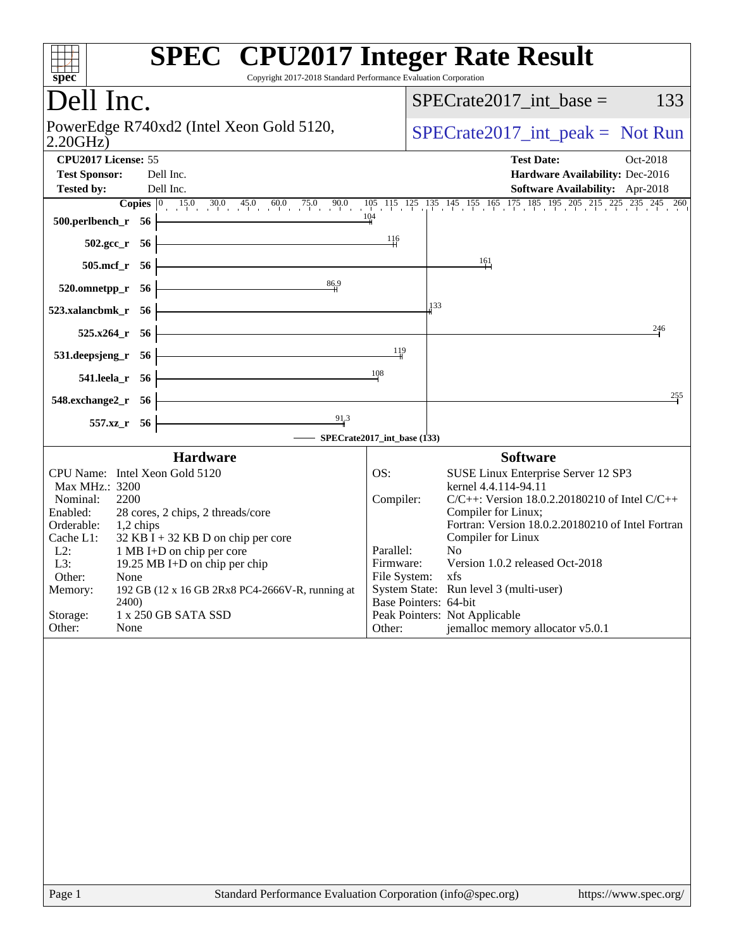| Copyright 2017-2018 Standard Performance Evaluation Corporation<br>spec <sup>®</sup>                                                                                                                                                                                                                                                                                                                                               | <b>SPEC<sup>®</sup></b> CPU2017 Integer Rate Result                                                                                                                                                                                                                                                                                                                                                                                                                                          |
|------------------------------------------------------------------------------------------------------------------------------------------------------------------------------------------------------------------------------------------------------------------------------------------------------------------------------------------------------------------------------------------------------------------------------------|----------------------------------------------------------------------------------------------------------------------------------------------------------------------------------------------------------------------------------------------------------------------------------------------------------------------------------------------------------------------------------------------------------------------------------------------------------------------------------------------|
| Dell Inc.                                                                                                                                                                                                                                                                                                                                                                                                                          | $SPECrate2017\_int\_base =$<br>133                                                                                                                                                                                                                                                                                                                                                                                                                                                           |
| PowerEdge R740xd2 (Intel Xeon Gold 5120,<br>2.20GHz                                                                                                                                                                                                                                                                                                                                                                                | $SPECrate2017\_int\_peak = Not Run$                                                                                                                                                                                                                                                                                                                                                                                                                                                          |
| CPU2017 License: 55<br><b>Test Sponsor:</b><br>Dell Inc.<br>Dell Inc.<br><b>Tested by:</b>                                                                                                                                                                                                                                                                                                                                         | <b>Test Date:</b><br>Oct-2018<br>Hardware Availability: Dec-2016<br>Software Availability: Apr-2018                                                                                                                                                                                                                                                                                                                                                                                          |
| 500.perlbench_r 56                                                                                                                                                                                                                                                                                                                                                                                                                 | <b>Copies</b> $\begin{bmatrix} 0 & 15 & 0 & 30 & 45 & 0 & 60 & 75 & 0 & 90 & 105 & 115 & 125 & 135 & 145 & 155 & 165 & 175 & 185 & 195 & 205 & 215 & 225 & 235 & 245 & 260 \end{bmatrix}$<br>104<br>116                                                                                                                                                                                                                                                                                      |
| $502.\text{gcc}_r$ 56<br>$505$ .mcf_r<br>- 56                                                                                                                                                                                                                                                                                                                                                                                      | 161                                                                                                                                                                                                                                                                                                                                                                                                                                                                                          |
| 86.9<br>520.omnetpp_r<br>- 56<br>523.xalancbmk_r 56                                                                                                                                                                                                                                                                                                                                                                                | 133                                                                                                                                                                                                                                                                                                                                                                                                                                                                                          |
| 525.x264 r 56<br>531.deepsjeng_r 56                                                                                                                                                                                                                                                                                                                                                                                                | 246<br>119                                                                                                                                                                                                                                                                                                                                                                                                                                                                                   |
| 541.leela_r 56                                                                                                                                                                                                                                                                                                                                                                                                                     | 108                                                                                                                                                                                                                                                                                                                                                                                                                                                                                          |
| 548.exchange2_r 56<br>91.3<br>557.xz_r 56                                                                                                                                                                                                                                                                                                                                                                                          | 255                                                                                                                                                                                                                                                                                                                                                                                                                                                                                          |
| <b>Hardware</b>                                                                                                                                                                                                                                                                                                                                                                                                                    | SPECrate2017_int_base (133)<br><b>Software</b>                                                                                                                                                                                                                                                                                                                                                                                                                                               |
| CPU Name: Intel Xeon Gold 5120<br>Max MHz.: 3200<br>Nominal:<br>2200<br>Enabled:<br>28 cores, 2 chips, 2 threads/core<br>Orderable:<br>1,2 chips<br>Cache L1:<br>$32$ KB I + 32 KB D on chip per core<br>$L2$ :<br>1 MB I+D on chip per core<br>L3:<br>19.25 MB I+D on chip per chip<br>Other:<br>None<br>192 GB (12 x 16 GB 2Rx8 PC4-2666V-R, running at<br>Memory:<br>2400)<br>Storage:<br>1 x 250 GB SATA SSD<br>Other:<br>None | OS:<br>SUSE Linux Enterprise Server 12 SP3<br>kernel 4.4.114-94.11<br>Compiler:<br>$C/C++$ : Version 18.0.2.20180210 of Intel $C/C++$<br>Compiler for Linux;<br>Fortran: Version 18.0.2.20180210 of Intel Fortran<br>Compiler for Linux<br>Parallel:<br>N <sub>0</sub><br>Version 1.0.2 released Oct-2018<br>Firmware:<br>File System: xfs<br>System State: Run level 3 (multi-user)<br>Base Pointers: 64-bit<br>Peak Pointers: Not Applicable<br>jemalloc memory allocator v5.0.1<br>Other: |
| Page 1                                                                                                                                                                                                                                                                                                                                                                                                                             | Standard Performance Evaluation Corporation (info@spec.org)<br>https://www.spec.org/                                                                                                                                                                                                                                                                                                                                                                                                         |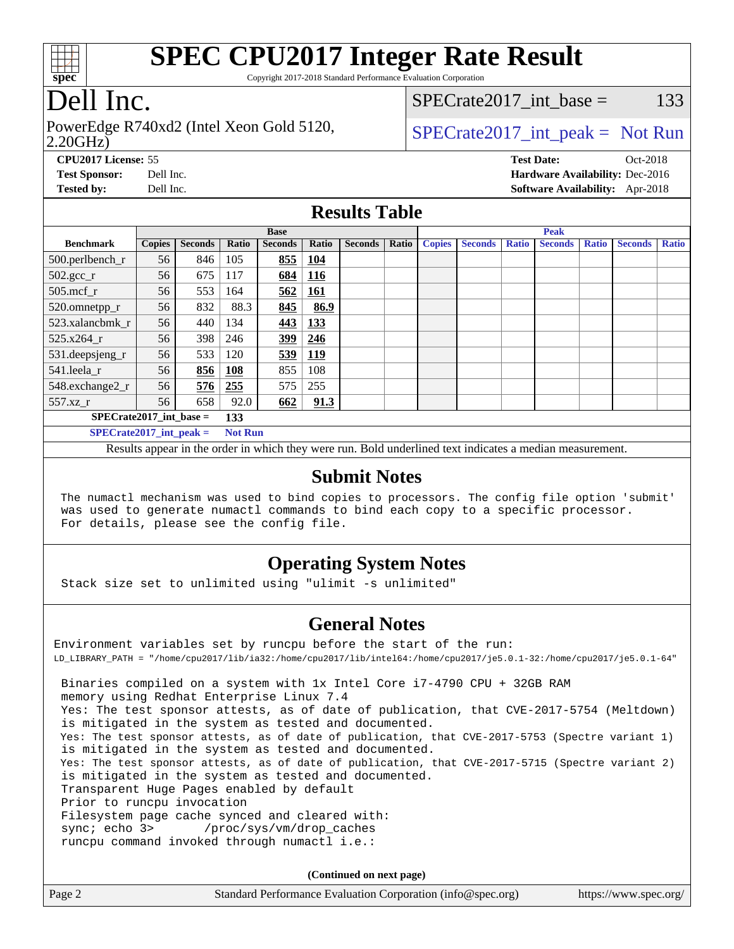

Copyright 2017-2018 Standard Performance Evaluation Corporation

### Dell Inc.

2.20GHz) PowerEdge R740xd2 (Intel Xeon Gold 5120,  $\vert$  [SPECrate2017\\_int\\_peak =](http://www.spec.org/auto/cpu2017/Docs/result-fields.html#SPECrate2017intpeak) Not Run

SPECrate  $2017$  int base = 133

**[CPU2017 License:](http://www.spec.org/auto/cpu2017/Docs/result-fields.html#CPU2017License)** 55 **[Test Date:](http://www.spec.org/auto/cpu2017/Docs/result-fields.html#TestDate)** Oct-2018 **[Test Sponsor:](http://www.spec.org/auto/cpu2017/Docs/result-fields.html#TestSponsor)** Dell Inc. **[Hardware Availability:](http://www.spec.org/auto/cpu2017/Docs/result-fields.html#HardwareAvailability)** Dec-2016 **[Tested by:](http://www.spec.org/auto/cpu2017/Docs/result-fields.html#Testedby)** Dell Inc. **[Software Availability:](http://www.spec.org/auto/cpu2017/Docs/result-fields.html#SoftwareAvailability)** Apr-2018

#### **[Results Table](http://www.spec.org/auto/cpu2017/Docs/result-fields.html#ResultsTable)**

|                                  | <b>Base</b>   |                |                |                | <b>Peak</b>  |                |       |               |                |              |                |              |                |              |
|----------------------------------|---------------|----------------|----------------|----------------|--------------|----------------|-------|---------------|----------------|--------------|----------------|--------------|----------------|--------------|
| <b>Benchmark</b>                 | <b>Copies</b> | <b>Seconds</b> | <b>Ratio</b>   | <b>Seconds</b> | <b>Ratio</b> | <b>Seconds</b> | Ratio | <b>Copies</b> | <b>Seconds</b> | <b>Ratio</b> | <b>Seconds</b> | <b>Ratio</b> | <b>Seconds</b> | <b>Ratio</b> |
| 500.perlbench_r                  | 56            | 846            | 105            | 855            | 104          |                |       |               |                |              |                |              |                |              |
| $502.\text{gcc\_r}$              | 56            | 675            | 117            | 684            | 116          |                |       |               |                |              |                |              |                |              |
| $505$ .mcf r                     | 56            | 553            | 164            | 562            | 161          |                |       |               |                |              |                |              |                |              |
| 520.omnetpp_r                    | 56            | 832            | 88.3           | 845            | 86.9         |                |       |               |                |              |                |              |                |              |
| 523.xalancbmk r                  | 56            | 440            | 134            | 443            | 133          |                |       |               |                |              |                |              |                |              |
| $525.x264$ r                     | 56            | 398            | 246            | 399            | 246          |                |       |               |                |              |                |              |                |              |
| 531.deepsjeng_r                  | 56            | 533            | 120            | 539            | <u>119</u>   |                |       |               |                |              |                |              |                |              |
| 541.leela_r                      | 56            | 856            | 108            | 855            | 108          |                |       |               |                |              |                |              |                |              |
| 548.exchange2_r                  | 56            | 576            | 255            | 575            | 255          |                |       |               |                |              |                |              |                |              |
| 557.xz r                         | 56            | 658            | 92.0           | 662            | 91.3         |                |       |               |                |              |                |              |                |              |
| $SPECrate2017$ int base =<br>133 |               |                |                |                |              |                |       |               |                |              |                |              |                |              |
| $SPECrate2017\_int\_peak =$      |               |                | <b>Not Run</b> |                |              |                |       |               |                |              |                |              |                |              |

Results appear in the [order in which they were run](http://www.spec.org/auto/cpu2017/Docs/result-fields.html#RunOrder). Bold underlined text [indicates a median measurement.](http://www.spec.org/auto/cpu2017/Docs/result-fields.html#Median)

#### **[Submit Notes](http://www.spec.org/auto/cpu2017/Docs/result-fields.html#SubmitNotes)**

 The numactl mechanism was used to bind copies to processors. The config file option 'submit' was used to generate numactl commands to bind each copy to a specific processor. For details, please see the config file.

### **[Operating System Notes](http://www.spec.org/auto/cpu2017/Docs/result-fields.html#OperatingSystemNotes)**

Stack size set to unlimited using "ulimit -s unlimited"

#### **[General Notes](http://www.spec.org/auto/cpu2017/Docs/result-fields.html#GeneralNotes)**

Environment variables set by runcpu before the start of the run: LD\_LIBRARY\_PATH = "/home/cpu2017/lib/ia32:/home/cpu2017/lib/intel64:/home/cpu2017/je5.0.1-32:/home/cpu2017/je5.0.1-64" Binaries compiled on a system with 1x Intel Core i7-4790 CPU + 32GB RAM memory using Redhat Enterprise Linux 7.4 Yes: The test sponsor attests, as of date of publication, that CVE-2017-5754 (Meltdown) is mitigated in the system as tested and documented. Yes: The test sponsor attests, as of date of publication, that CVE-2017-5753 (Spectre variant 1) is mitigated in the system as tested and documented. Yes: The test sponsor attests, as of date of publication, that CVE-2017-5715 (Spectre variant 2) is mitigated in the system as tested and documented. Transparent Huge Pages enabled by default Prior to runcpu invocation Filesystem page cache synced and cleared with: sync; echo 3> /proc/sys/vm/drop\_caches runcpu command invoked through numactl i.e.:

**(Continued on next page)**

| Page 2<br>Standard Performance Evaluation Corporation (info@spec.org) |  |  | https://www.spec.org/ |
|-----------------------------------------------------------------------|--|--|-----------------------|
|-----------------------------------------------------------------------|--|--|-----------------------|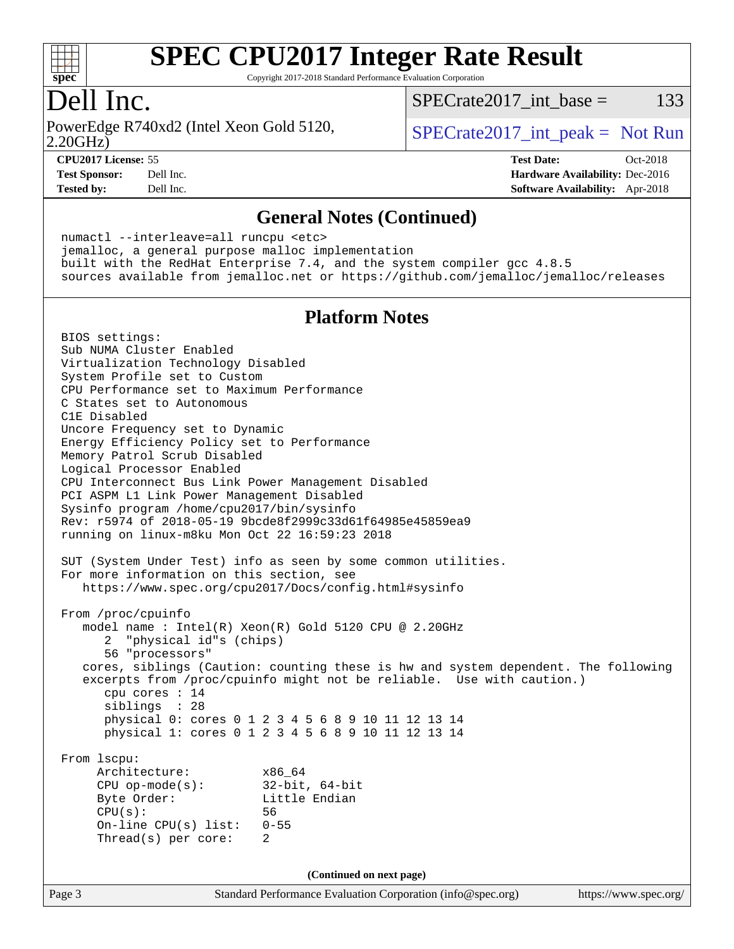

Copyright 2017-2018 Standard Performance Evaluation Corporation

### Dell Inc.

2.20GHz) PowerEdge R740xd2 (Intel Xeon Gold 5120,  $SPECTa te2017$  int peak = Not Run

 $SPECTate2017\_int\_base = 133$ 

**[Tested by:](http://www.spec.org/auto/cpu2017/Docs/result-fields.html#Testedby)** Dell Inc. **[Software Availability:](http://www.spec.org/auto/cpu2017/Docs/result-fields.html#SoftwareAvailability)** Apr-2018

**[CPU2017 License:](http://www.spec.org/auto/cpu2017/Docs/result-fields.html#CPU2017License)** 55 **[Test Date:](http://www.spec.org/auto/cpu2017/Docs/result-fields.html#TestDate)** Oct-2018 **[Test Sponsor:](http://www.spec.org/auto/cpu2017/Docs/result-fields.html#TestSponsor)** Dell Inc. **[Hardware Availability:](http://www.spec.org/auto/cpu2017/Docs/result-fields.html#HardwareAvailability)** Dec-2016

#### **[General Notes \(Continued\)](http://www.spec.org/auto/cpu2017/Docs/result-fields.html#GeneralNotes)**

 numactl --interleave=all runcpu <etc> jemalloc, a general purpose malloc implementation built with the RedHat Enterprise 7.4, and the system compiler gcc 4.8.5 sources available from jemalloc.net or <https://github.com/jemalloc/jemalloc/releases>

#### **[Platform Notes](http://www.spec.org/auto/cpu2017/Docs/result-fields.html#PlatformNotes)**

Page 3 Standard Performance Evaluation Corporation [\(info@spec.org\)](mailto:info@spec.org) <https://www.spec.org/> BIOS settings: Sub NUMA Cluster Enabled Virtualization Technology Disabled System Profile set to Custom CPU Performance set to Maximum Performance C States set to Autonomous C1E Disabled Uncore Frequency set to Dynamic Energy Efficiency Policy set to Performance Memory Patrol Scrub Disabled Logical Processor Enabled CPU Interconnect Bus Link Power Management Disabled PCI ASPM L1 Link Power Management Disabled Sysinfo program /home/cpu2017/bin/sysinfo Rev: r5974 of 2018-05-19 9bcde8f2999c33d61f64985e45859ea9 running on linux-m8ku Mon Oct 22 16:59:23 2018 SUT (System Under Test) info as seen by some common utilities. For more information on this section, see <https://www.spec.org/cpu2017/Docs/config.html#sysinfo> From /proc/cpuinfo model name : Intel(R) Xeon(R) Gold 5120 CPU @ 2.20GHz 2 "physical id"s (chips) 56 "processors" cores, siblings (Caution: counting these is hw and system dependent. The following excerpts from /proc/cpuinfo might not be reliable. Use with caution.) cpu cores : 14 siblings : 28 physical 0: cores 0 1 2 3 4 5 6 8 9 10 11 12 13 14 physical 1: cores 0 1 2 3 4 5 6 8 9 10 11 12 13 14 From lscpu: Architecture: x86\_64 CPU op-mode(s): 32-bit, 64-bit Byte Order: Little Endian CPU(s): 56 On-line CPU(s) list: 0-55 Thread(s) per core: 2 **(Continued on next page)**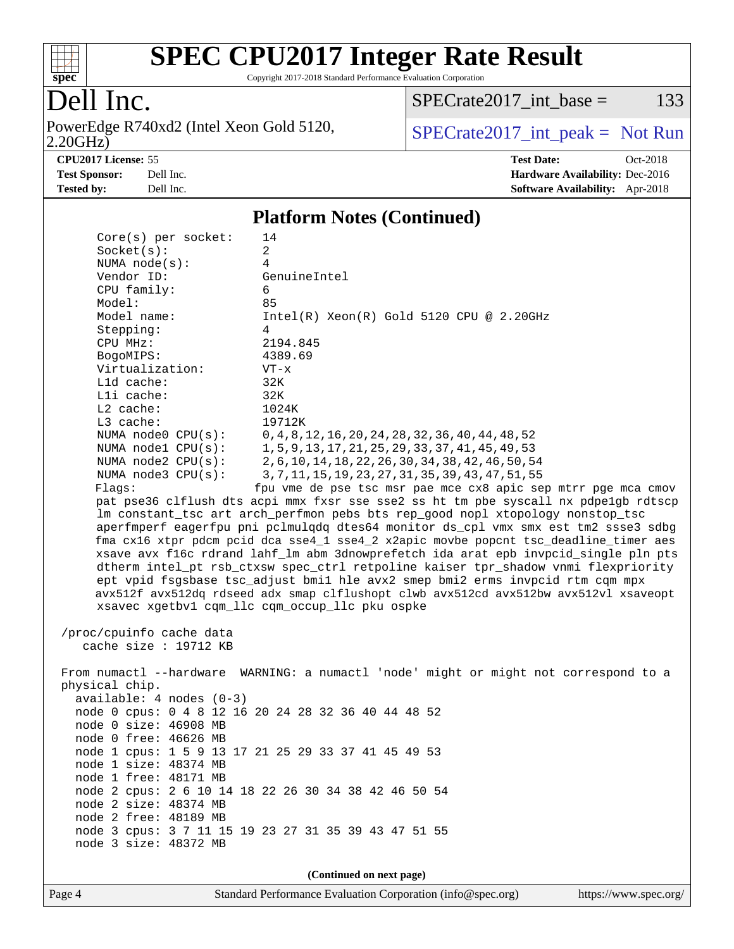

Copyright 2017-2018 Standard Performance Evaluation Corporation

## Dell Inc.

2.20GHz) PowerEdge R740xd2 (Intel Xeon Gold 5120,  $SPECTR = SPEC rate 2017 int _ peak = Not Run$ 

 $SPECTate2017\_int\_base = 133$ 

**[CPU2017 License:](http://www.spec.org/auto/cpu2017/Docs/result-fields.html#CPU2017License)** 55 **[Test Date:](http://www.spec.org/auto/cpu2017/Docs/result-fields.html#TestDate)** Oct-2018 **[Test Sponsor:](http://www.spec.org/auto/cpu2017/Docs/result-fields.html#TestSponsor)** Dell Inc. **[Hardware Availability:](http://www.spec.org/auto/cpu2017/Docs/result-fields.html#HardwareAvailability)** Dec-2016 **[Tested by:](http://www.spec.org/auto/cpu2017/Docs/result-fields.html#Testedby)** Dell Inc. **[Software Availability:](http://www.spec.org/auto/cpu2017/Docs/result-fields.html#SoftwareAvailability)** Apr-2018

#### **[Platform Notes \(Continued\)](http://www.spec.org/auto/cpu2017/Docs/result-fields.html#PlatformNotes)**

| Core(s) per socket:        | 14                                                                                   |  |  |  |  |
|----------------------------|--------------------------------------------------------------------------------------|--|--|--|--|
| Socket(s):                 | $\overline{a}$                                                                       |  |  |  |  |
| NUMA $node(s):$            | 4                                                                                    |  |  |  |  |
| Vendor ID:                 | GenuineIntel                                                                         |  |  |  |  |
| CPU family:                | 6                                                                                    |  |  |  |  |
| Model:                     | 85                                                                                   |  |  |  |  |
| Model name:                | $Intel(R)$ Xeon $(R)$ Gold 5120 CPU @ 2.20GHz                                        |  |  |  |  |
| Stepping:                  | 4                                                                                    |  |  |  |  |
| CPU MHz:                   | 2194.845                                                                             |  |  |  |  |
| BogoMIPS:                  | 4389.69                                                                              |  |  |  |  |
| Virtualization:            | $VT - x$                                                                             |  |  |  |  |
| L1d cache:                 | 32K                                                                                  |  |  |  |  |
| Lli cache:                 | 32K                                                                                  |  |  |  |  |
| $L2$ cache:                | 1024K                                                                                |  |  |  |  |
| L3 cache:                  | 19712K                                                                               |  |  |  |  |
| NUMA node0 CPU(s):         | 0, 4, 8, 12, 16, 20, 24, 28, 32, 36, 40, 44, 48, 52                                  |  |  |  |  |
| NUMA nodel CPU(s):         | 1, 5, 9, 13, 17, 21, 25, 29, 33, 37, 41, 45, 49, 53                                  |  |  |  |  |
| NUMA $node2$ $CPU(s)$ :    | 2, 6, 10, 14, 18, 22, 26, 30, 34, 38, 42, 46, 50, 54                                 |  |  |  |  |
| NUMA node3 CPU(s):         | 3, 7, 11, 15, 19, 23, 27, 31, 35, 39, 43, 47, 51, 55                                 |  |  |  |  |
| Flags:                     | fpu vme de pse tsc msr pae mce cx8 apic sep mtrr pge mca cmov                        |  |  |  |  |
|                            | pat pse36 clflush dts acpi mmx fxsr sse sse2 ss ht tm pbe syscall nx pdpelgb rdtscp  |  |  |  |  |
|                            | lm constant_tsc art arch_perfmon pebs bts rep_good nopl xtopology nonstop_tsc        |  |  |  |  |
|                            | aperfmperf eagerfpu pni pclmulqdq dtes64 monitor ds_cpl vmx smx est tm2 ssse3 sdbg   |  |  |  |  |
|                            | fma cx16 xtpr pdcm pcid dca sse4_1 sse4_2 x2apic movbe popcnt tsc_deadline_timer aes |  |  |  |  |
|                            | xsave avx f16c rdrand lahf_lm abm 3dnowprefetch ida arat epb invpcid_single pln pts  |  |  |  |  |
|                            | dtherm intel_pt rsb_ctxsw spec_ctrl retpoline kaiser tpr_shadow vnmi flexpriority    |  |  |  |  |
|                            | ept vpid fsgsbase tsc_adjust bmil hle avx2 smep bmi2 erms invpcid rtm cqm mpx        |  |  |  |  |
|                            | avx512f avx512dq rdseed adx smap clflushopt clwb avx512cd avx512bw avx512vl xsaveopt |  |  |  |  |
|                            | xsavec xgetbv1 cqm_llc cqm_occup_llc pku ospke                                       |  |  |  |  |
| /proc/cpuinfo cache data   |                                                                                      |  |  |  |  |
| cache size : 19712 KB      |                                                                                      |  |  |  |  |
|                            |                                                                                      |  |  |  |  |
|                            | From numactl --hardware WARNING: a numactl 'node' might or might not correspond to a |  |  |  |  |
| physical chip.             |                                                                                      |  |  |  |  |
| $available: 4 nodes (0-3)$ |                                                                                      |  |  |  |  |
|                            | node 0 cpus: 0 4 8 12 16 20 24 28 32 36 40 44 48 52                                  |  |  |  |  |
| node 0 size: 46908 MB      |                                                                                      |  |  |  |  |
| node 0 free: 46626 MB      |                                                                                      |  |  |  |  |
|                            | node 1 cpus: 1 5 9 13 17 21 25 29 33 37 41 45 49 53                                  |  |  |  |  |
| node 1 size: 48374 MB      |                                                                                      |  |  |  |  |
| node 1 free: 48171 MB      |                                                                                      |  |  |  |  |
|                            | node 2 cpus: 2 6 10 14 18 22 26 30 34 38 42 46 50 54                                 |  |  |  |  |
| node 2 size: 48374 MB      |                                                                                      |  |  |  |  |
| node 2 free: 48189 MB      |                                                                                      |  |  |  |  |
|                            | node 3 cpus: 3 7 11 15 19 23 27 31 35 39 43 47 51 55                                 |  |  |  |  |
| node 3 size: 48372 MB      |                                                                                      |  |  |  |  |
|                            |                                                                                      |  |  |  |  |
| (Continued on next page)   |                                                                                      |  |  |  |  |

Page 4 Standard Performance Evaluation Corporation [\(info@spec.org\)](mailto:info@spec.org) <https://www.spec.org/>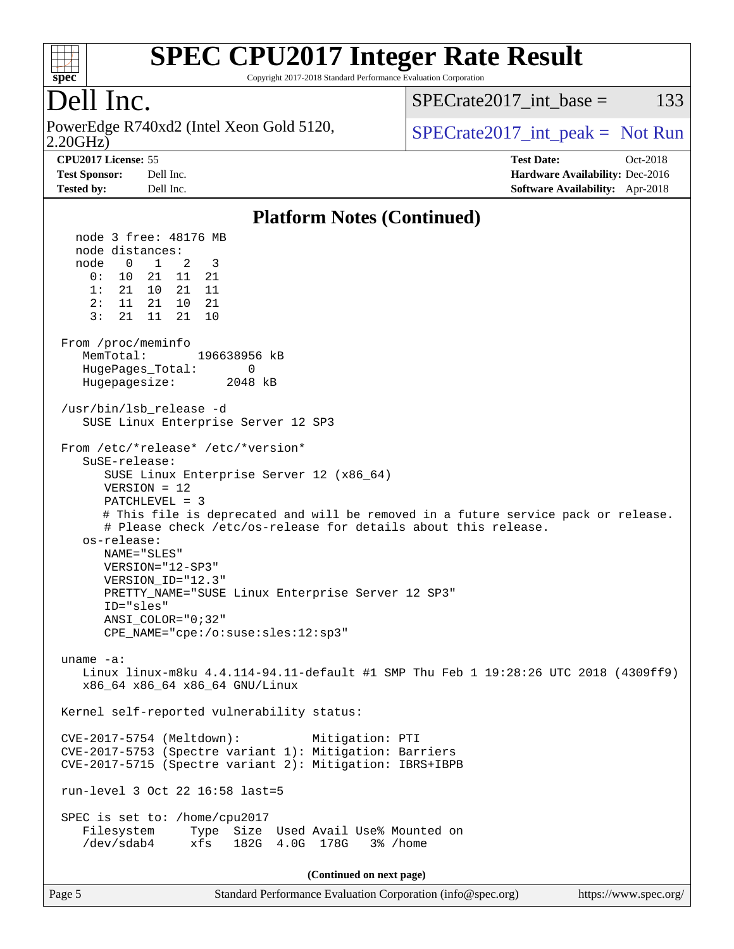

Copyright 2017-2018 Standard Performance Evaluation Corporation

### Dell Inc.

2.20GHz) PowerEdge R740xd2 (Intel Xeon Gold 5120,  $SPECTa te2017$  int peak = Not Run

SPECrate  $2017$  int base = 133

**[CPU2017 License:](http://www.spec.org/auto/cpu2017/Docs/result-fields.html#CPU2017License)** 55 **[Test Date:](http://www.spec.org/auto/cpu2017/Docs/result-fields.html#TestDate)** Oct-2018 **[Test Sponsor:](http://www.spec.org/auto/cpu2017/Docs/result-fields.html#TestSponsor)** Dell Inc. **[Hardware Availability:](http://www.spec.org/auto/cpu2017/Docs/result-fields.html#HardwareAvailability)** Dec-2016 **[Tested by:](http://www.spec.org/auto/cpu2017/Docs/result-fields.html#Testedby)** Dell Inc. **[Software Availability:](http://www.spec.org/auto/cpu2017/Docs/result-fields.html#SoftwareAvailability)** Apr-2018

#### **[Platform Notes \(Continued\)](http://www.spec.org/auto/cpu2017/Docs/result-fields.html#PlatformNotes)** node 3 free: 48176 MB node distances: node 0 1 2 3 0: 10 21 11 21 1: 21 10 21 11 2: 11 21 10 21 3: 21 11 21 10 From /proc/meminfo MemTotal: 196638956 kB HugePages\_Total: 0 Hugepagesize: 2048 kB /usr/bin/lsb\_release -d SUSE Linux Enterprise Server 12 SP3 From /etc/\*release\* /etc/\*version\* SuSE-release: SUSE Linux Enterprise Server 12 (x86\_64) VERSION = 12 PATCHLEVEL = 3 # This file is deprecated and will be removed in a future service pack or release. # Please check /etc/os-release for details about this release. os-release: NAME="SLES" VERSION="12-SP3" VERSION\_ID="12.3" PRETTY\_NAME="SUSE Linux Enterprise Server 12 SP3" ID="sles" ANSI\_COLOR="0;32" CPE\_NAME="cpe:/o:suse:sles:12:sp3" uname -a: Linux linux-m8ku 4.4.114-94.11-default #1 SMP Thu Feb 1 19:28:26 UTC 2018 (4309ff9) x86\_64 x86\_64 x86\_64 GNU/Linux Kernel self-reported vulnerability status: CVE-2017-5754 (Meltdown): Mitigation: PTI CVE-2017-5753 (Spectre variant 1): Mitigation: Barriers CVE-2017-5715 (Spectre variant 2): Mitigation: IBRS+IBPB run-level 3 Oct 22 16:58 last=5 SPEC is set to: /home/cpu2017 Filesystem Type Size Used Avail Use% Mounted on /dev/sdab4 xfs 182G 4.0G 178G 3% /home **(Continued on next page)**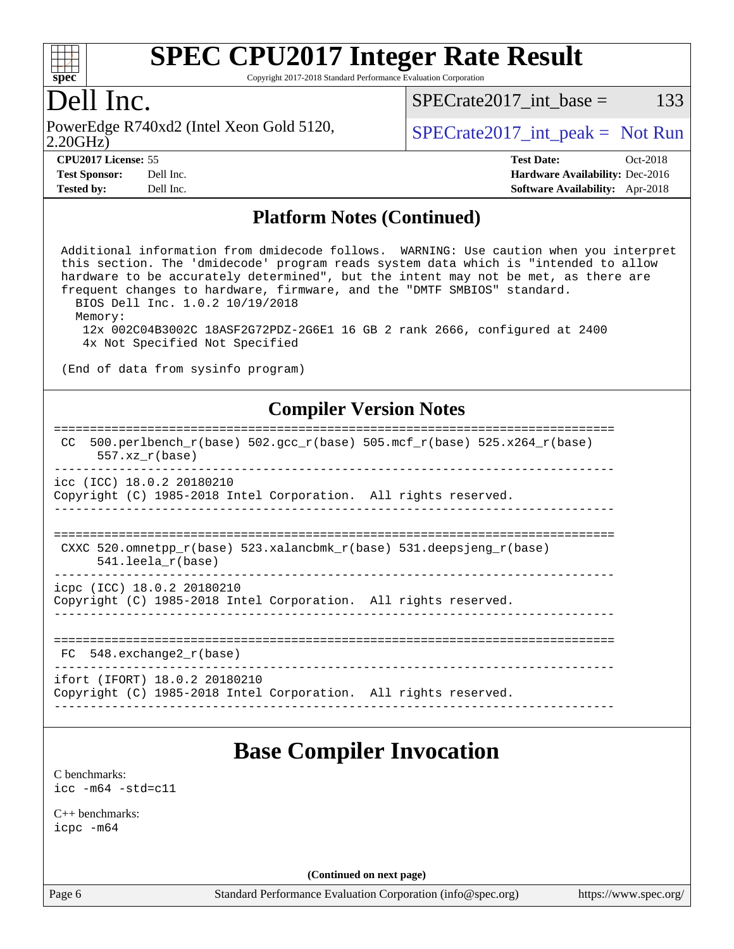

Copyright 2017-2018 Standard Performance Evaluation Corporation

### Dell Inc.

2.20GHz) PowerEdge R740xd2 (Intel Xeon Gold 5120,  $\vert$  [SPECrate2017\\_int\\_peak =](http://www.spec.org/auto/cpu2017/Docs/result-fields.html#SPECrate2017intpeak) Not Run

 $SPECTate2017\_int\_base = 133$ 

| <b>CPU2017 License: 55</b> |          |
|----------------------------|----------|
| <b>Test Sponsor:</b>       | Dell Inc |
| $\mathbf{r}$               |          |

**[CPU2017 License:](http://www.spec.org/auto/cpu2017/Docs/result-fields.html#CPU2017License)** 55 **[Test Date:](http://www.spec.org/auto/cpu2017/Docs/result-fields.html#TestDate)** Oct-2018 **[Hardware Availability:](http://www.spec.org/auto/cpu2017/Docs/result-fields.html#HardwareAvailability) Dec-2016 [Tested by:](http://www.spec.org/auto/cpu2017/Docs/result-fields.html#Testedby)** Dell Inc. **[Software Availability:](http://www.spec.org/auto/cpu2017/Docs/result-fields.html#SoftwareAvailability)** Apr-2018

#### **[Platform Notes \(Continued\)](http://www.spec.org/auto/cpu2017/Docs/result-fields.html#PlatformNotes)**

 Additional information from dmidecode follows. WARNING: Use caution when you interpret this section. The 'dmidecode' program reads system data which is "intended to allow hardware to be accurately determined", but the intent may not be met, as there are frequent changes to hardware, firmware, and the "DMTF SMBIOS" standard. BIOS Dell Inc. 1.0.2 10/19/2018 Memory: 12x 002C04B3002C 18ASF2G72PDZ-2G6E1 16 GB 2 rank 2666, configured at 2400 4x Not Specified Not Specified

(End of data from sysinfo program)

#### **[Compiler Version Notes](http://www.spec.org/auto/cpu2017/Docs/result-fields.html#CompilerVersionNotes)**

#### ============================================================================== CC 500.perlbench  $r(base)$  502.gcc  $r(base)$  505.mcf  $r(base)$  525.x264  $r(base)$  557.xz\_r(base) ----------------------------------------------------------------------------- icc (ICC) 18.0.2 20180210 Copyright (C) 1985-2018 Intel Corporation. All rights reserved. ------------------------------------------------------------------------------

```
==============================================================================
CXXC 520.omnetpp_r(base) 523.xalancbmk_r(base) 531.deepsjeng_r(base)
     541.leela_r(base)
```
----------------------------------------------------------------------------- icpc (ICC) 18.0.2 20180210

Copyright (C) 1985-2018 Intel Corporation. All rights reserved.

------------------------------------------------------------------------------

```
==============================================================================
```
 FC 548.exchange2\_r(base) ------------------------------------------------------------------------------

ifort (IFORT) 18.0.2 20180210 Copyright (C) 1985-2018 Intel Corporation. All rights reserved. ------------------------------------------------------------------------------

### **[Base Compiler Invocation](http://www.spec.org/auto/cpu2017/Docs/result-fields.html#BaseCompilerInvocation)**

[C benchmarks](http://www.spec.org/auto/cpu2017/Docs/result-fields.html#Cbenchmarks): [icc -m64 -std=c11](http://www.spec.org/cpu2017/results/res2018q4/cpu2017-20181112-09537.flags.html#user_CCbase_intel_icc_64bit_c11_33ee0cdaae7deeeab2a9725423ba97205ce30f63b9926c2519791662299b76a0318f32ddfffdc46587804de3178b4f9328c46fa7c2b0cd779d7a61945c91cd35)

[C++ benchmarks:](http://www.spec.org/auto/cpu2017/Docs/result-fields.html#CXXbenchmarks) [icpc -m64](http://www.spec.org/cpu2017/results/res2018q4/cpu2017-20181112-09537.flags.html#user_CXXbase_intel_icpc_64bit_4ecb2543ae3f1412ef961e0650ca070fec7b7afdcd6ed48761b84423119d1bf6bdf5cad15b44d48e7256388bc77273b966e5eb805aefd121eb22e9299b2ec9d9)

**(Continued on next page)**

Page 6 Standard Performance Evaluation Corporation [\(info@spec.org\)](mailto:info@spec.org) <https://www.spec.org/>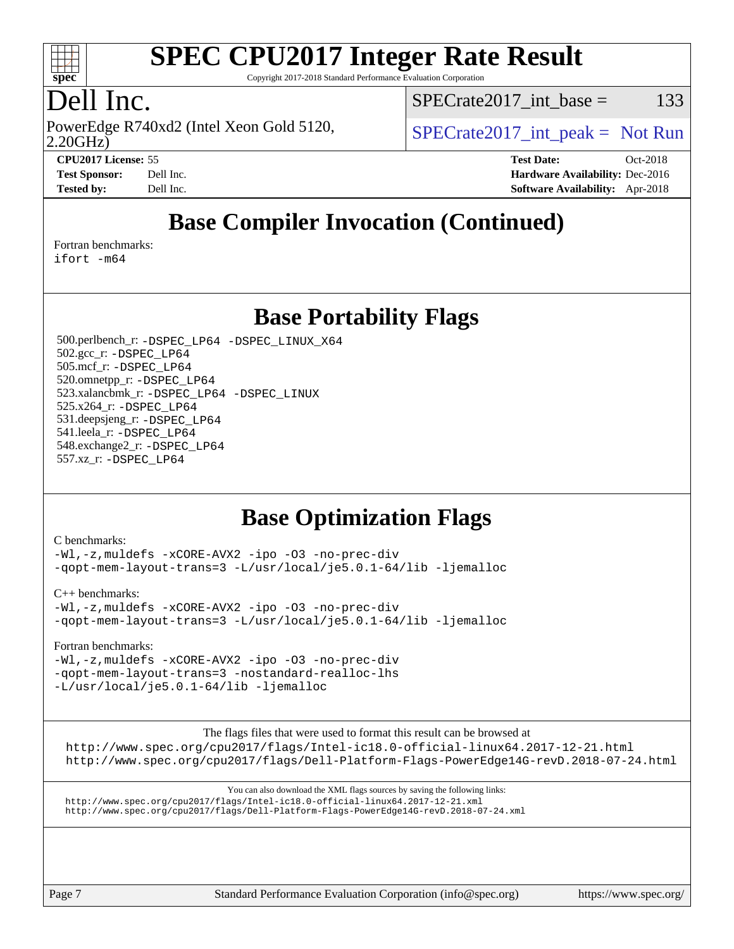

Copyright 2017-2018 Standard Performance Evaluation Corporation

### Dell Inc.

2.20GHz) PowerEdge R740xd2 (Intel Xeon Gold 5120,  $SPECTa te2017$  int peak = Not Run

 $SPECTate2017\_int\_base = 133$ 

**[CPU2017 License:](http://www.spec.org/auto/cpu2017/Docs/result-fields.html#CPU2017License)** 55 **[Test Date:](http://www.spec.org/auto/cpu2017/Docs/result-fields.html#TestDate)** Oct-2018 **[Test Sponsor:](http://www.spec.org/auto/cpu2017/Docs/result-fields.html#TestSponsor)** Dell Inc. **[Hardware Availability:](http://www.spec.org/auto/cpu2017/Docs/result-fields.html#HardwareAvailability)** Dec-2016 **[Tested by:](http://www.spec.org/auto/cpu2017/Docs/result-fields.html#Testedby)** Dell Inc. **[Software Availability:](http://www.spec.org/auto/cpu2017/Docs/result-fields.html#SoftwareAvailability)** Apr-2018

### **[Base Compiler Invocation \(Continued\)](http://www.spec.org/auto/cpu2017/Docs/result-fields.html#BaseCompilerInvocation)**

[Fortran benchmarks](http://www.spec.org/auto/cpu2017/Docs/result-fields.html#Fortranbenchmarks):

[ifort -m64](http://www.spec.org/cpu2017/results/res2018q4/cpu2017-20181112-09537.flags.html#user_FCbase_intel_ifort_64bit_24f2bb282fbaeffd6157abe4f878425411749daecae9a33200eee2bee2fe76f3b89351d69a8130dd5949958ce389cf37ff59a95e7a40d588e8d3a57e0c3fd751)

### **[Base Portability Flags](http://www.spec.org/auto/cpu2017/Docs/result-fields.html#BasePortabilityFlags)**

 500.perlbench\_r: [-DSPEC\\_LP64](http://www.spec.org/cpu2017/results/res2018q4/cpu2017-20181112-09537.flags.html#b500.perlbench_r_basePORTABILITY_DSPEC_LP64) [-DSPEC\\_LINUX\\_X64](http://www.spec.org/cpu2017/results/res2018q4/cpu2017-20181112-09537.flags.html#b500.perlbench_r_baseCPORTABILITY_DSPEC_LINUX_X64) 502.gcc\_r: [-DSPEC\\_LP64](http://www.spec.org/cpu2017/results/res2018q4/cpu2017-20181112-09537.flags.html#suite_basePORTABILITY502_gcc_r_DSPEC_LP64) 505.mcf\_r: [-DSPEC\\_LP64](http://www.spec.org/cpu2017/results/res2018q4/cpu2017-20181112-09537.flags.html#suite_basePORTABILITY505_mcf_r_DSPEC_LP64) 520.omnetpp\_r: [-DSPEC\\_LP64](http://www.spec.org/cpu2017/results/res2018q4/cpu2017-20181112-09537.flags.html#suite_basePORTABILITY520_omnetpp_r_DSPEC_LP64) 523.xalancbmk\_r: [-DSPEC\\_LP64](http://www.spec.org/cpu2017/results/res2018q4/cpu2017-20181112-09537.flags.html#suite_basePORTABILITY523_xalancbmk_r_DSPEC_LP64) [-DSPEC\\_LINUX](http://www.spec.org/cpu2017/results/res2018q4/cpu2017-20181112-09537.flags.html#b523.xalancbmk_r_baseCXXPORTABILITY_DSPEC_LINUX) 525.x264\_r: [-DSPEC\\_LP64](http://www.spec.org/cpu2017/results/res2018q4/cpu2017-20181112-09537.flags.html#suite_basePORTABILITY525_x264_r_DSPEC_LP64) 531.deepsjeng\_r: [-DSPEC\\_LP64](http://www.spec.org/cpu2017/results/res2018q4/cpu2017-20181112-09537.flags.html#suite_basePORTABILITY531_deepsjeng_r_DSPEC_LP64) 541.leela\_r: [-DSPEC\\_LP64](http://www.spec.org/cpu2017/results/res2018q4/cpu2017-20181112-09537.flags.html#suite_basePORTABILITY541_leela_r_DSPEC_LP64) 548.exchange2\_r: [-DSPEC\\_LP64](http://www.spec.org/cpu2017/results/res2018q4/cpu2017-20181112-09537.flags.html#suite_basePORTABILITY548_exchange2_r_DSPEC_LP64) 557.xz\_r: [-DSPEC\\_LP64](http://www.spec.org/cpu2017/results/res2018q4/cpu2017-20181112-09537.flags.html#suite_basePORTABILITY557_xz_r_DSPEC_LP64)

### **[Base Optimization Flags](http://www.spec.org/auto/cpu2017/Docs/result-fields.html#BaseOptimizationFlags)**

[C benchmarks](http://www.spec.org/auto/cpu2017/Docs/result-fields.html#Cbenchmarks):

[-Wl,-z,muldefs](http://www.spec.org/cpu2017/results/res2018q4/cpu2017-20181112-09537.flags.html#user_CCbase_link_force_multiple1_b4cbdb97b34bdee9ceefcfe54f4c8ea74255f0b02a4b23e853cdb0e18eb4525ac79b5a88067c842dd0ee6996c24547a27a4b99331201badda8798ef8a743f577) [-xCORE-AVX2](http://www.spec.org/cpu2017/results/res2018q4/cpu2017-20181112-09537.flags.html#user_CCbase_f-xCORE-AVX2) [-ipo](http://www.spec.org/cpu2017/results/res2018q4/cpu2017-20181112-09537.flags.html#user_CCbase_f-ipo) [-O3](http://www.spec.org/cpu2017/results/res2018q4/cpu2017-20181112-09537.flags.html#user_CCbase_f-O3) [-no-prec-div](http://www.spec.org/cpu2017/results/res2018q4/cpu2017-20181112-09537.flags.html#user_CCbase_f-no-prec-div) [-qopt-mem-layout-trans=3](http://www.spec.org/cpu2017/results/res2018q4/cpu2017-20181112-09537.flags.html#user_CCbase_f-qopt-mem-layout-trans_de80db37974c74b1f0e20d883f0b675c88c3b01e9d123adea9b28688d64333345fb62bc4a798493513fdb68f60282f9a726aa07f478b2f7113531aecce732043) [-L/usr/local/je5.0.1-64/lib](http://www.spec.org/cpu2017/results/res2018q4/cpu2017-20181112-09537.flags.html#user_CCbase_jemalloc_link_path64_4b10a636b7bce113509b17f3bd0d6226c5fb2346b9178c2d0232c14f04ab830f976640479e5c33dc2bcbbdad86ecfb6634cbbd4418746f06f368b512fced5394) [-ljemalloc](http://www.spec.org/cpu2017/results/res2018q4/cpu2017-20181112-09537.flags.html#user_CCbase_jemalloc_link_lib_d1249b907c500fa1c0672f44f562e3d0f79738ae9e3c4a9c376d49f265a04b9c99b167ecedbf6711b3085be911c67ff61f150a17b3472be731631ba4d0471706)

[C++ benchmarks:](http://www.spec.org/auto/cpu2017/Docs/result-fields.html#CXXbenchmarks)

[-Wl,-z,muldefs](http://www.spec.org/cpu2017/results/res2018q4/cpu2017-20181112-09537.flags.html#user_CXXbase_link_force_multiple1_b4cbdb97b34bdee9ceefcfe54f4c8ea74255f0b02a4b23e853cdb0e18eb4525ac79b5a88067c842dd0ee6996c24547a27a4b99331201badda8798ef8a743f577) [-xCORE-AVX2](http://www.spec.org/cpu2017/results/res2018q4/cpu2017-20181112-09537.flags.html#user_CXXbase_f-xCORE-AVX2) [-ipo](http://www.spec.org/cpu2017/results/res2018q4/cpu2017-20181112-09537.flags.html#user_CXXbase_f-ipo) [-O3](http://www.spec.org/cpu2017/results/res2018q4/cpu2017-20181112-09537.flags.html#user_CXXbase_f-O3) [-no-prec-div](http://www.spec.org/cpu2017/results/res2018q4/cpu2017-20181112-09537.flags.html#user_CXXbase_f-no-prec-div) [-qopt-mem-layout-trans=3](http://www.spec.org/cpu2017/results/res2018q4/cpu2017-20181112-09537.flags.html#user_CXXbase_f-qopt-mem-layout-trans_de80db37974c74b1f0e20d883f0b675c88c3b01e9d123adea9b28688d64333345fb62bc4a798493513fdb68f60282f9a726aa07f478b2f7113531aecce732043) [-L/usr/local/je5.0.1-64/lib](http://www.spec.org/cpu2017/results/res2018q4/cpu2017-20181112-09537.flags.html#user_CXXbase_jemalloc_link_path64_4b10a636b7bce113509b17f3bd0d6226c5fb2346b9178c2d0232c14f04ab830f976640479e5c33dc2bcbbdad86ecfb6634cbbd4418746f06f368b512fced5394) [-ljemalloc](http://www.spec.org/cpu2017/results/res2018q4/cpu2017-20181112-09537.flags.html#user_CXXbase_jemalloc_link_lib_d1249b907c500fa1c0672f44f562e3d0f79738ae9e3c4a9c376d49f265a04b9c99b167ecedbf6711b3085be911c67ff61f150a17b3472be731631ba4d0471706)

[Fortran benchmarks](http://www.spec.org/auto/cpu2017/Docs/result-fields.html#Fortranbenchmarks):

[-Wl,-z,muldefs](http://www.spec.org/cpu2017/results/res2018q4/cpu2017-20181112-09537.flags.html#user_FCbase_link_force_multiple1_b4cbdb97b34bdee9ceefcfe54f4c8ea74255f0b02a4b23e853cdb0e18eb4525ac79b5a88067c842dd0ee6996c24547a27a4b99331201badda8798ef8a743f577) [-xCORE-AVX2](http://www.spec.org/cpu2017/results/res2018q4/cpu2017-20181112-09537.flags.html#user_FCbase_f-xCORE-AVX2) [-ipo](http://www.spec.org/cpu2017/results/res2018q4/cpu2017-20181112-09537.flags.html#user_FCbase_f-ipo) [-O3](http://www.spec.org/cpu2017/results/res2018q4/cpu2017-20181112-09537.flags.html#user_FCbase_f-O3) [-no-prec-div](http://www.spec.org/cpu2017/results/res2018q4/cpu2017-20181112-09537.flags.html#user_FCbase_f-no-prec-div) [-qopt-mem-layout-trans=3](http://www.spec.org/cpu2017/results/res2018q4/cpu2017-20181112-09537.flags.html#user_FCbase_f-qopt-mem-layout-trans_de80db37974c74b1f0e20d883f0b675c88c3b01e9d123adea9b28688d64333345fb62bc4a798493513fdb68f60282f9a726aa07f478b2f7113531aecce732043) [-nostandard-realloc-lhs](http://www.spec.org/cpu2017/results/res2018q4/cpu2017-20181112-09537.flags.html#user_FCbase_f_2003_std_realloc_82b4557e90729c0f113870c07e44d33d6f5a304b4f63d4c15d2d0f1fab99f5daaed73bdb9275d9ae411527f28b936061aa8b9c8f2d63842963b95c9dd6426b8a) [-L/usr/local/je5.0.1-64/lib](http://www.spec.org/cpu2017/results/res2018q4/cpu2017-20181112-09537.flags.html#user_FCbase_jemalloc_link_path64_4b10a636b7bce113509b17f3bd0d6226c5fb2346b9178c2d0232c14f04ab830f976640479e5c33dc2bcbbdad86ecfb6634cbbd4418746f06f368b512fced5394) [-ljemalloc](http://www.spec.org/cpu2017/results/res2018q4/cpu2017-20181112-09537.flags.html#user_FCbase_jemalloc_link_lib_d1249b907c500fa1c0672f44f562e3d0f79738ae9e3c4a9c376d49f265a04b9c99b167ecedbf6711b3085be911c67ff61f150a17b3472be731631ba4d0471706)

The flags files that were used to format this result can be browsed at

<http://www.spec.org/cpu2017/flags/Intel-ic18.0-official-linux64.2017-12-21.html> <http://www.spec.org/cpu2017/flags/Dell-Platform-Flags-PowerEdge14G-revD.2018-07-24.html>

You can also download the XML flags sources by saving the following links: <http://www.spec.org/cpu2017/flags/Intel-ic18.0-official-linux64.2017-12-21.xml> <http://www.spec.org/cpu2017/flags/Dell-Platform-Flags-PowerEdge14G-revD.2018-07-24.xml>